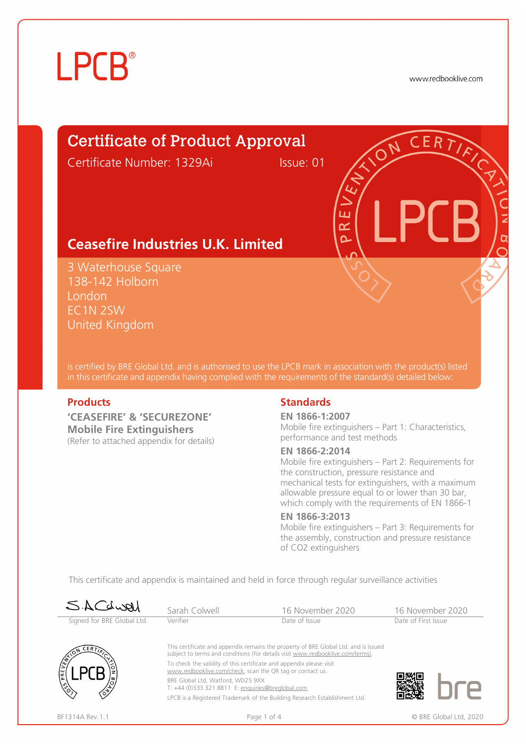# **LPCB**®

www.redbooklive.com

# Certificate of Product Approval

Certificate Number: 1329Ai Issue: 01

ய œ  $\Omega$ 

# **Ceasefire Industries U.K. Limited**

3 Waterhouse Square 138-142 Holborn London EC1N 2SW United Kingdom

is certified by BRE Global Ltd. and is authorised to use the LPCB mark in association with the product(s) listed in this certificate and appendix having complied with the requirements of the standard(s) detailed below:

**'CEASEFIRE' & 'SECUREZONE' Mobile Fire Extinguishers**  (Refer to attached appendix for details)

#### **Products** Standards **Standards**

#### **EN 1866-1:2007**

Mobile fire extinguishers – Part 1: Characteristics, performance and test methods

#### **EN 1866-2:2014**

Mobile fire extinguishers – Part 2: Requirements for the construction, pressure resistance and mechanical tests for extinguishers, with a maximum allowable pressure equal to or lower than 30 bar, which comply with the requirements of EN 1866-1

#### **EN 1866-3:2013**

Mobile fire extinguishers – Part 3: Requirements for the assembly, construction and pressure resistance of CO2 extinguishers

This certificate and appendix is maintained and held in force through regular surveillance activities

| SACLURI                    | Sarah Colwell                                                                                                                                                                                                                                                                                                                                                                                                                                                                     | 16 November 2020 | 16 November 2020    |  |
|----------------------------|-----------------------------------------------------------------------------------------------------------------------------------------------------------------------------------------------------------------------------------------------------------------------------------------------------------------------------------------------------------------------------------------------------------------------------------------------------------------------------------|------------------|---------------------|--|
| Signed for BRE Global Ltd. | Verifier                                                                                                                                                                                                                                                                                                                                                                                                                                                                          | Date of Issue    | Date of First Issue |  |
| こERァブ                      | This certificate and appendix remains the property of BRE Global Ltd. and is issued<br>subject to terms and conditions (for details visit www.redbooklive.com/terms).<br>To check the validity of this certificate and appendix please visit<br>www.redbooklive.com/check, scan the QR tag or contact us.<br>BRE Global Ltd, Watford, WD25 9XX<br>T: +44 (0)333 321 8811 E: enquiries@breglobal.com<br>LPCB is a Registered Trademark of the Building Research Establishment Ltd. |                  |                     |  |
| E                          |                                                                                                                                                                                                                                                                                                                                                                                                                                                                                   |                  |                     |  |
|                            |                                                                                                                                                                                                                                                                                                                                                                                                                                                                                   |                  |                     |  |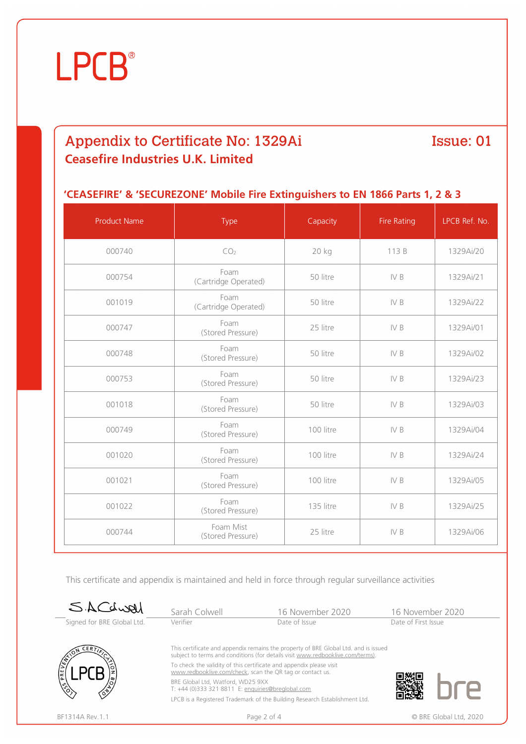

# Appendix to Certificate No: 1329Ai **Ceasefire Industries U.K. Limited**

# Issue: 01

### **'CEASEFIRE' & 'SECUREZONE' Mobile Fire Extinguishers to EN 1866 Parts 1, 2 & 3**

| <b>Product Name</b> | Type                           | Capacity  | Fire Rating | LPCB Ref. No. |
|---------------------|--------------------------------|-----------|-------------|---------------|
| 000740              | CO <sub>2</sub>                | 20 kg     | 113 B       | 1329Ai/20     |
| 000754              | Foam<br>(Cartridge Operated)   | 50 litre  | IV B        | 1329Ai/21     |
| 001019              | Foam<br>(Cartridge Operated)   | 50 litre  | IV B        | 1329Ai/22     |
| 000747              | Foam<br>(Stored Pressure)      | 25 litre  | IV B        | 1329Ai/01     |
| 000748              | Foam<br>(Stored Pressure)      | 50 litre  | IV B        | 1329Ai/02     |
| 000753              | Foam<br>(Stored Pressure)      | 50 litre  | IV B        | 1329Ai/23     |
| 001018              | Foam<br>(Stored Pressure)      | 50 litre  | IV B        | 1329Ai/03     |
| 000749              | Foam<br>(Stored Pressure)      | 100 litre | IV B        | 1329Ai/04     |
| 001020              | Foam<br>(Stored Pressure)      | 100 litre | IV B        | 1329Ai/24     |
| 001021              | Foam<br>(Stored Pressure)      | 100 litre | IV B        | 1329Ai/05     |
| 001022              | Foam<br>(Stored Pressure)      | 135 litre | IV B        | 1329Ai/25     |
| 000744              | Foam Mist<br>(Stored Pressure) | 25 litre  | IV B        | 1329Ai/06     |

This certificate and appendix is maintained and held in force through regular surveillance activities

| SACLURI                    | Sarah Colwell                                                                                                                    | 16 November 2020                                                                                                                                                      | 16 November 2020    |  |
|----------------------------|----------------------------------------------------------------------------------------------------------------------------------|-----------------------------------------------------------------------------------------------------------------------------------------------------------------------|---------------------|--|
| Signed for BRE Global Ltd. | Verifier                                                                                                                         | Date of Issue                                                                                                                                                         | Date of First Issue |  |
|                            |                                                                                                                                  | This certificate and appendix remains the property of BRE Global Ltd. and is issued<br>subject to terms and conditions (for details visit www.redbooklive.com/terms). |                     |  |
| ام<br>آه                   | To check the validity of this certificate and appendix please visit<br>www.redbooklive.com/check, scan the QR tag or contact us. |                                                                                                                                                                       |                     |  |
|                            | BRE Global Ltd, Watford, WD25 9XX<br>T: +44 (0)333 321 8811 E: enquiries@breglobal.com                                           |                                                                                                                                                                       |                     |  |
|                            | LPCB is a Registered Trademark of the Building Research Establishment Ltd.                                                       |                                                                                                                                                                       |                     |  |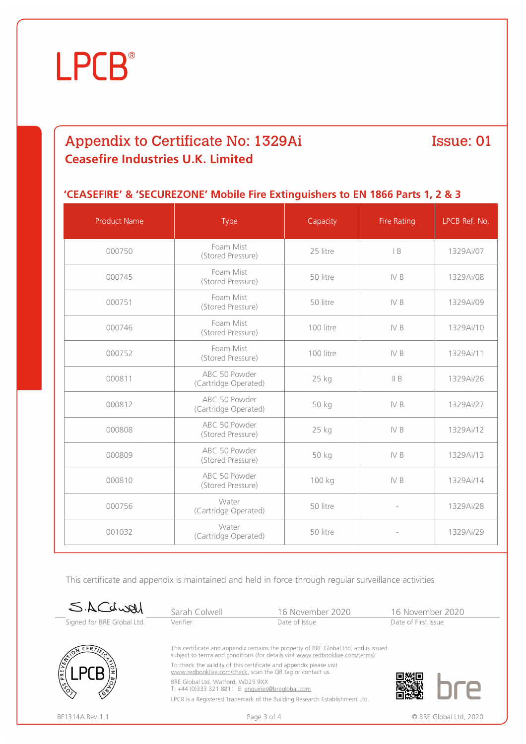

# Appendix to Certificate No: 1329Ai **Ceasefire Industries U.K. Limited**

# Issue: 01

### **'CEASEFIRE' & 'SECUREZONE' Mobile Fire Extinguishers to EN 1866 Parts 1, 2 & 3**

| <b>Product Name</b> | Type                                  | Capacity  | <b>Fire Rating</b>       | LPCB Ref. No. |
|---------------------|---------------------------------------|-----------|--------------------------|---------------|
| 000750              | Foam Mist<br>(Stored Pressure)        | 25 litre  | B                        | 1329Ai/07     |
| 000745              | Foam Mist<br>(Stored Pressure)        | 50 litre  | IV B                     | 1329Ai/08     |
| 000751              | Foam Mist<br>(Stored Pressure)        | 50 litre  | IV B                     | 1329Ai/09     |
| 000746              | Foam Mist<br>(Stored Pressure)        | 100 litre | IV B                     | 1329Ai/10     |
| 000752              | Foam Mist<br>(Stored Pressure)        | 100 litre | IV B                     | 1329Ai/11     |
| 000811              | ABC 50 Powder<br>(Cartridge Operated) | 25 kg     | II B                     | 1329Ai/26     |
| 000812              | ABC 50 Powder<br>(Cartridge Operated) | 50 kg     | IV B                     | 1329Ai/27     |
| 000808              | ABC 50 Powder<br>(Stored Pressure)    | 25 kg     | IV B                     | 1329Ai/12     |
| 000809              | ABC 50 Powder<br>(Stored Pressure)    | 50 kg     | IV B                     | 1329Ai/13     |
| 000810              | ABC 50 Powder<br>(Stored Pressure)    | 100 kg    | IV B                     | 1329Ai/14     |
| 000756              | Water<br>(Cartridge Operated)         | 50 litre  | $\bar{ }$                | 1329Ai/28     |
| 001032              | Water<br>(Cartridge Operated)         | 50 litre  | $\overline{\phantom{a}}$ | 1329Ai/29     |

This certificate and appendix is maintained and held in force through regular surveillance activities

| SACLURI                    | Sarah Colwell                                                                                                                    | 16 November 2020                                                                                                                                                      | 16 November 2020    |
|----------------------------|----------------------------------------------------------------------------------------------------------------------------------|-----------------------------------------------------------------------------------------------------------------------------------------------------------------------|---------------------|
| Signed for BRE Global Ltd. | Verifier                                                                                                                         | Date of Issue                                                                                                                                                         | Date of First Issue |
| CER 7                      |                                                                                                                                  | This certificate and appendix remains the property of BRE Global Ltd. and is issued<br>subject to terms and conditions (for details visit www.redbooklive.com/terms). |                     |
| PREV                       | To check the validity of this certificate and appendix please visit<br>www.redbooklive.com/check, scan the QR tag or contact us. |                                                                                                                                                                       |                     |
|                            | BRE Global Ltd, Watford, WD25 9XX<br>T: +44 (0)333 321 8811 E: enquiries@breglobal.com                                           |                                                                                                                                                                       |                     |
|                            |                                                                                                                                  | LPCB is a Registered Trademark of the Building Research Establishment Ltd.                                                                                            |                     |

BF1314A Rev.1.1 **Page 3 of 4** Page 3 of 4 © BRE Global Ltd, 2020